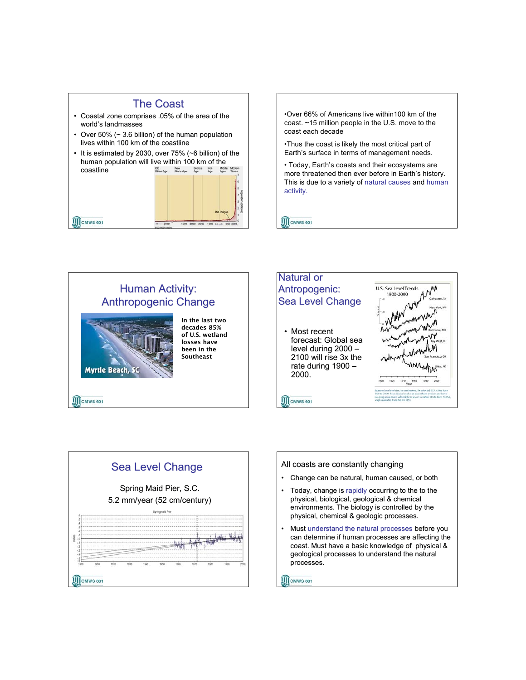

•Over 66% of Americans live within100 km of the coast. ~15 million people in the U.S. move to the coast each decade

•Thus the coast is likely the most critical part of Earth's surface in terms of management needs.

• Today, Earth's coasts and their ecosystems are more threatened then ever before in Earth's history. This is due to a variety of natural causes and human activity.

**III** CMWS 601









**III** CMWS 601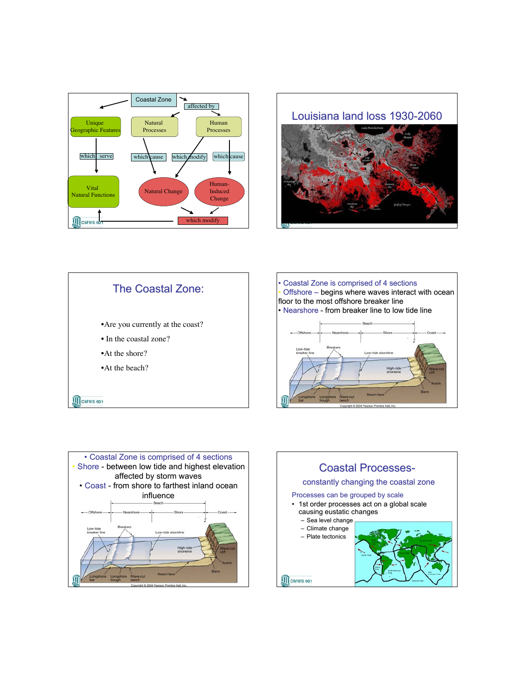









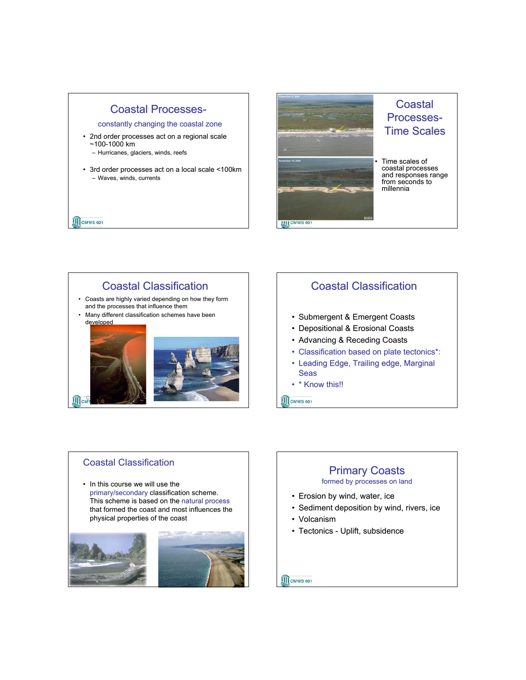## **Coastal Processes-**

constantly changing the coastal zone

- 2nd order processes act on a regional scale ~100-1000 km
	- Hurricanes, glaciers, winds, reefs
- 3rd order processes act on a local scale <100km – Waves, winds, currents

**III** CMWS 601



# **Coastal** Processes- Processes-**Time Scales**

• Time scales of coastal processes and responses range from seconds to millennia

# Coastal Classification • Coasts are highly varied depending on how they form

- and the processes that influence them
- Many different classification schemes have been developed



# Coastal Classification

- Submergent & Emergent Coasts
- Depositional & Erosional Coasts
- Advancing & Receding Coasts
- Classification based on plate tectonics\*:
- Leading Edge, Trailing edge, Marginal Seas
- \* Know this!!
- **III** CMWS 601

### Coastal Classification

• In this course we will use the primary/secondary classification scheme. This scheme is based on the natural process that formed the coast and most influences the physical properties of the coast



### **Primary Coasts** formed by processes on land

- Erosion by wind, water, ice
- Sediment deposition by wind, rivers, ice
- Volcanism

**II** CMWS 601

• Tectonics - Uplift, subsidence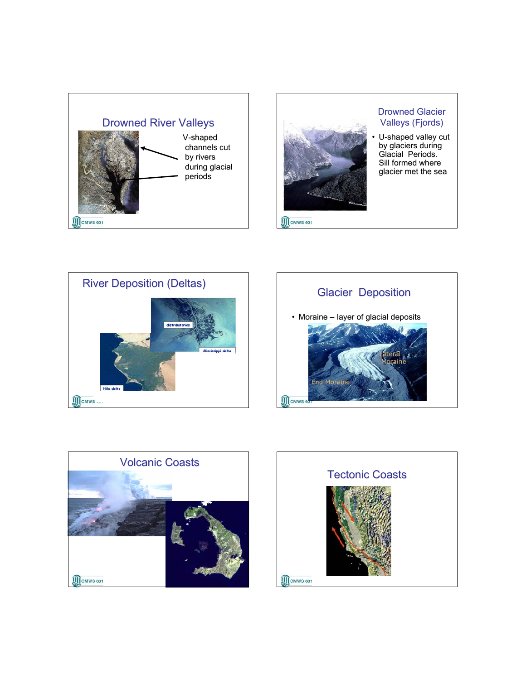



### Drowned Glacier Valleys (Fjords)

• U-shaped valley cut by glaciers during Glacial Periods. Sill formed where glacier met the sea









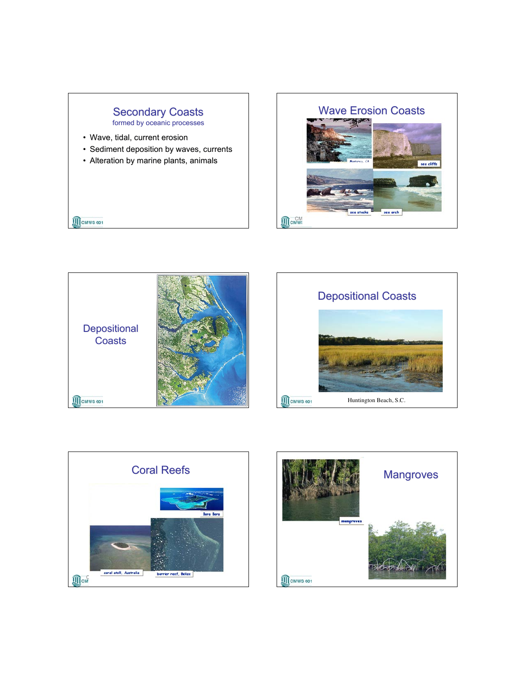